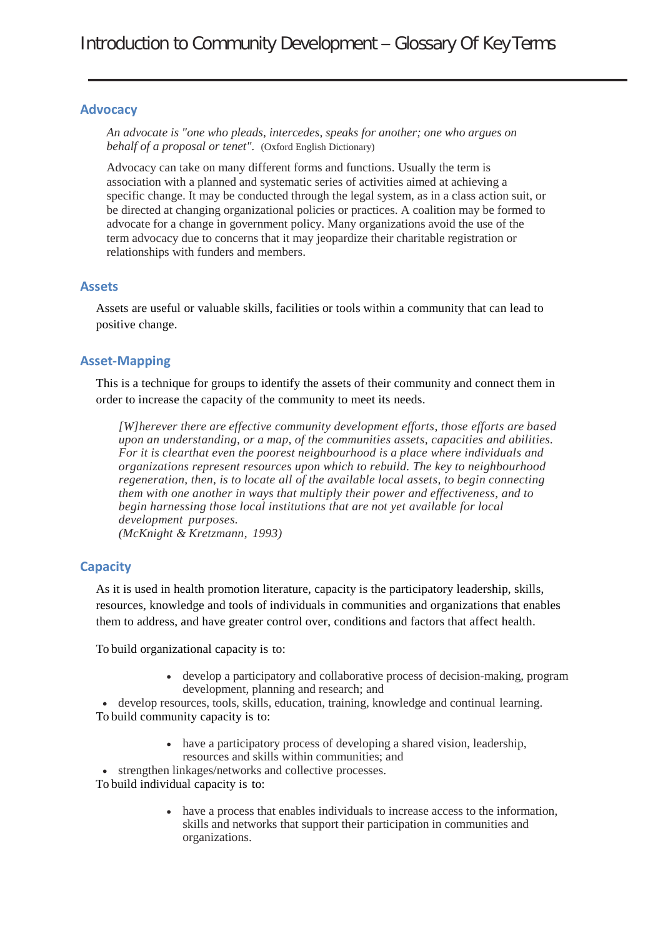### **Advocacy**

*An advocate is "one who pleads, intercedes, speaks for another; one who argues on behalf of a proposal or tenet".* (Oxford English Dictionary)

Advocacy can take on many different forms and functions. Usually the term is association with a planned and systematic series of activities aimed at achieving a specific change. It may be conducted through the legal system, as in a class action suit, or be directed at changing organizational policies or practices. A coalition may be formed to advocate for a change in government policy. Many organizations avoid the use of the term advocacy due to concerns that it may jeopardize their charitable registration or relationships with funders and members.

### **Assets**

Assets are useful or valuable skills, facilities or tools within a community that can lead to positive change.

### **Asset-Mapping**

This is a technique for groups to identify the assets of their community and connect them in order to increase the capacity of the community to meet its needs.

*[W]herever there are effective community development efforts, those efforts are based upon an understanding, or a map, of the communities assets, capacities and abilities. For it is clearthat even the poorest neighbourhood is a place where individuals and organizations represent resources upon which to rebuild. The key to neighbourhood regeneration, then, is to locate all of the available local assets, to begin connecting them with one another in ways that multiply their power and effectiveness, and to begin harnessing those local institutions that are not yet available for local development purposes. (McKnight & Kretzmann, 1993)*

### **Capacity**

As it is used in health promotion literature, capacity is the participatory leadership, skills, resources, knowledge and tools of individuals in communities and organizations that enables them to address, and have greater control over, conditions and factors that affect health.

To build organizational capacity is to:

• develop a participatory and collaborative process of decision-making, program development, planning and research; and

• develop resources, tools, skills, education, training, knowledge and continual learning. To build community capacity is to:

> • have a participatory process of developing a shared vision, leadership, resources and skills within communities; and

• strengthen linkages/networks and collective processes.

To build individual capacity is to:

• have a process that enables individuals to increase access to the information, skills and networks that support their participation in communities and organizations.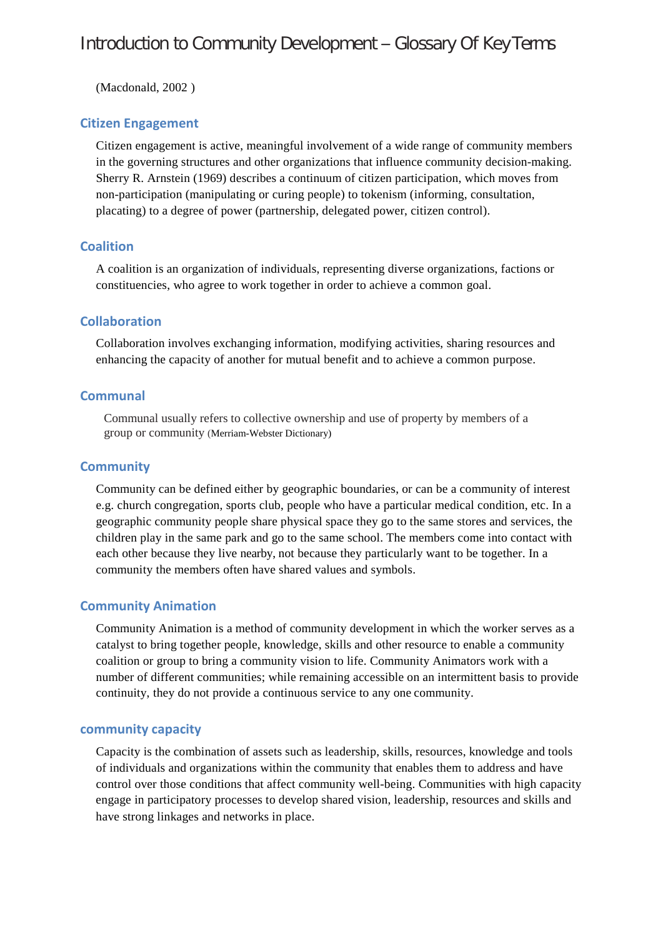(Macdonald, 2002 )

# **Citizen Engagement**

Citizen engagement is active, meaningful involvement of a wide range of community members in the governing structures and other organizations that influence community decision-making. Sherry R. Arnstein (1969) describes a continuum of citizen participation, which moves from non-participation (manipulating or curing people) to tokenism (informing, consultation, placating) to a degree of power (partnership, delegated power, citizen control).

# **Coalition**

A coalition is an organization of individuals, representing diverse organizations, factions or constituencies, who agree to work together in order to achieve a common goal.

# **Collaboration**

Collaboration involves exchanging information, modifying activities, sharing resources and enhancing the capacity of another for mutual benefit and to achieve a common purpose.

# **Communal**

Communal usually refers to collective ownership and use of property by members of a group or community (Merriam-Webster Dictionary)

# **Community**

Community can be defined either by geographic boundaries, or can be a community of interest e.g. church congregation, sports club, people who have a particular medical condition, etc. In a geographic community people share physical space they go to the same stores and services, the children play in the same park and go to the same school. The members come into contact with each other because they live nearby, not because they particularly want to be together. In a community the members often have shared values and symbols.

# **Community Animation**

Community Animation is a method of community development in which the worker serves as a catalyst to bring together people, knowledge, skills and other resource to enable a community coalition or group to bring a community vision to life. Community Animators work with a number of different communities; while remaining accessible on an intermittent basis to provide continuity, they do not provide a continuous service to any one community.

### **community capacity**

Capacity is the combination of assets such as leadership, skills, resources, knowledge and tools of individuals and organizations within the community that enables them to address and have control over those conditions that affect community well-being. Communities with high capacity engage in participatory processes to develop shared vision, leadership, resources and skills and have strong linkages and networks in place.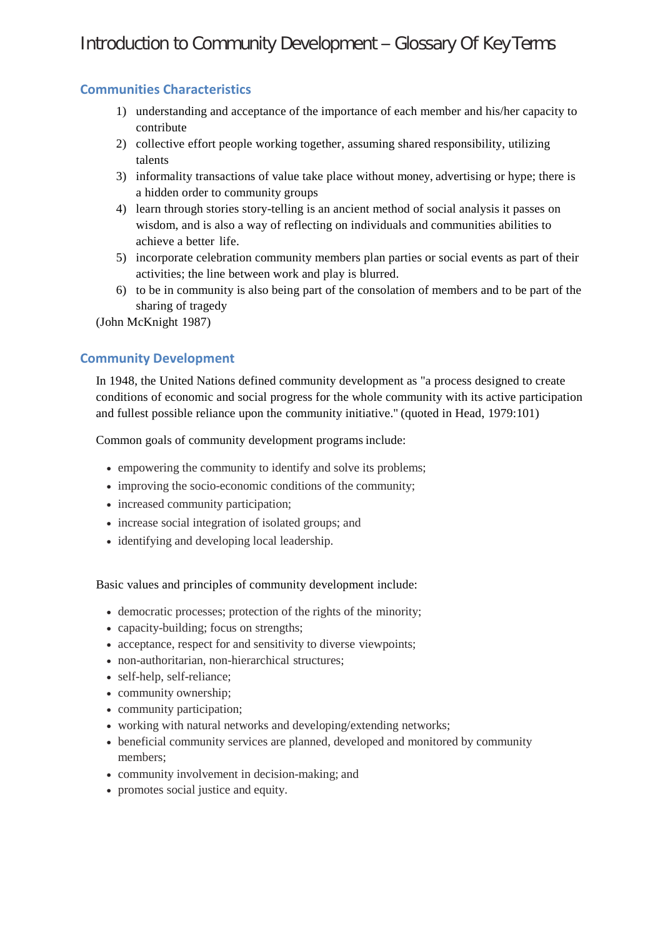# **Communities Characteristics**

- 1) understanding and acceptance of the importance of each member and his/her capacity to contribute
- 2) collective effort people working together, assuming shared responsibility, utilizing talents
- 3) informality transactions of value take place without money, advertising or hype; there is a hidden order to community groups
- 4) learn through stories story-telling is an ancient method of social analysis it passes on wisdom, and is also a way of reflecting on individuals and communities abilities to achieve a better life.
- 5) incorporate celebration community members plan parties or social events as part of their activities; the line between work and play is blurred.
- 6) to be in community is also being part of the consolation of members and to be part of the sharing of tragedy

(John McKnight 1987)

# **Community Development**

In 1948, the United Nations defined community development as "a process designed to create conditions of economic and social progress for the whole community with its active participation and fullest possible reliance upon the community initiative." (quoted in Head, 1979:101)

Common goals of community development programs include:

- empowering the community to identify and solve its problems;
- improving the socio-economic conditions of the community;
- increased community participation;
- increase social integration of isolated groups; and
- identifying and developing local leadership.

Basic values and principles of community development include:

- democratic processes; protection of the rights of the minority;
- capacity-building; focus on strengths;
- acceptance, respect for and sensitivity to diverse viewpoints;
- non-authoritarian, non-hierarchical structures;
- self-help, self-reliance;
- community ownership;
- community participation;
- working with natural networks and developing/extending networks;
- beneficial community services are planned, developed and monitored by community members;
- community involvement in decision-making; and
- promotes social justice and equity.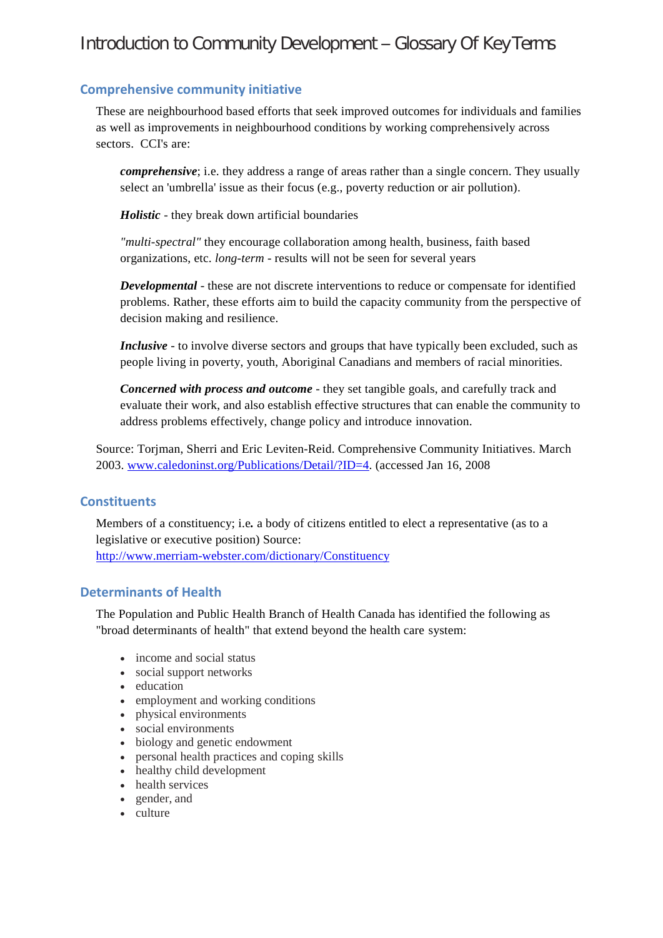## **Comprehensive community initiative**

These are neighbourhood based efforts that seek improved outcomes for individuals and families as well as improvements in neighbourhood conditions by working comprehensively across sectors. CCI's are:

*comprehensive*; i.e. they address a range of areas rather than a single concern. They usually select an 'umbrella' issue as their focus (e.g., poverty reduction or air pollution).

*Holistic* - they break down artificial boundaries

*"multi-spectral"* they encourage collaboration among health, business, faith based organizations, etc. *long-term* - results will not be seen for several years

*Developmental* - these are not discrete interventions to reduce or compensate for identified problems. Rather, these efforts aim to build the capacity community from the perspective of decision making and resilience.

*Inclusive* - to involve diverse sectors and groups that have typically been excluded, such as people living in poverty, youth, Aboriginal Canadians and members of racial minorities.

*Concerned with process and outcome* - they set tangible goals, and carefully track and evaluate their work, and also establish effective structures that can enable the community to address problems effectively, change policy and introduce innovation.

Source: Torjman, Sherri and Eric Leviten-Reid. Comprehensive Community Initiatives. March 2003. [www.caledoninst.org/Publications/Detail/?ID=4.](http://www.caledoninst.org/Publications/Detail/?ID=4) (accessed Jan 16, 2008

### **Constituents**

Members of a constituency; i.e*.* a body of citizens entitled to elect a representative (as to a legislative or executive position) Source: <http://www.merriam-webster.com/dictionary/Constituency>

### **Determinants of Health**

The Population and Public Health Branch of Health Canada has identified the following as "broad determinants of health" that extend beyond the health care system:

- income and social status
- social support networks
- education
- employment and working conditions
- physical environments
- social environments
- biology and genetic endowment
- personal health practices and coping skills
- healthy child development
- health services
- gender, and
- culture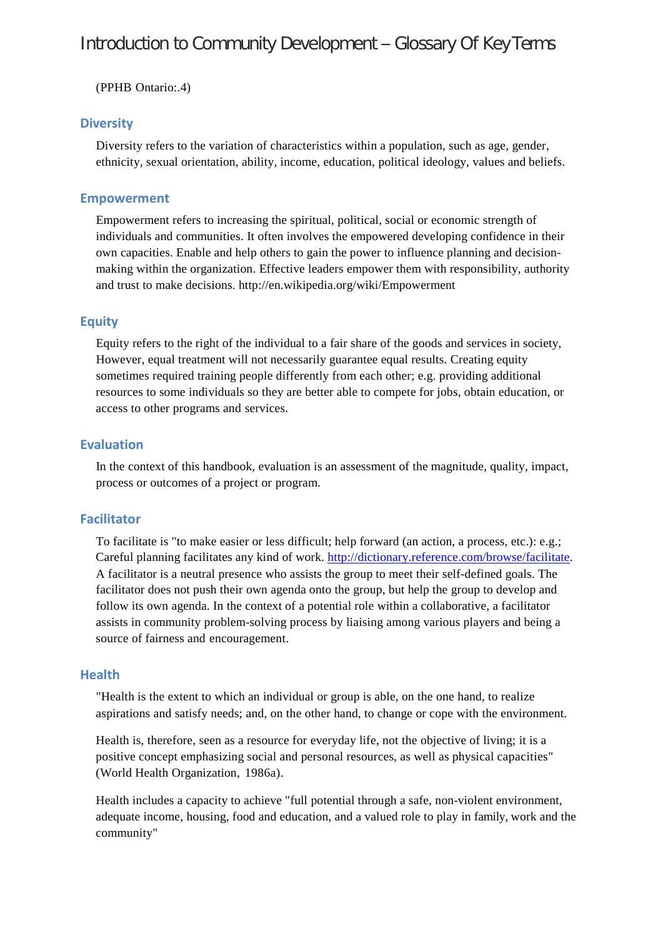(PPHB Ontario:.4)

### **Diversity**

Diversity refers to the variation of characteristics within a population, such as age, gender, ethnicity, sexual orientation, ability, income, education, political ideology, values and beliefs.

### **Empowerment**

Empowerment refers to increasing the spiritual, political, social or economic strength of individuals and communities. It often involves the empowered developing confidence in their own capacities. Enable and help others to gain the power to influence planning and decisionmaking within the organization. Effective leaders empower them with responsibility, authority and trust to make decisions.<http://en.wikipedia.org/wiki/Empowerment>

### **Equity**

Equity refers to the right of the individual to a fair share of the goods and services in society, However, equal treatment will not necessarily guarantee equal results. Creating equity sometimes required training people differently from each other; e.g. providing additional resources to some individuals so they are better able to compete for jobs, obtain education, or access to other programs and services.

### **Evaluation**

In the context of this handbook, evaluation is an assessment of the magnitude, quality, impact, process or outcomes of a project or program.

### **Facilitator**

To facilitate is "to make easier or less difficult; help forward (an action, a process, etc.): e.g.; Careful planning facilitates any kind of work. [http://dictionary.reference.com/browse/facilitate.](http://dictionary.reference.com/browse/facilitate) A facilitator is a neutral presence who assists the group to meet their self-defined goals. The facilitator does not push their own agenda onto the group, but help the group to develop and follow its own agenda. In the context of a potential role within a collaborative, a facilitator assists in community problem-solving process by liaising among various players and being a source of fairness and encouragement.

### **Health**

"Health is the extent to which an individual or group is able, on the one hand, to realize aspirations and satisfy needs; and, on the other hand, to change or cope with the environment.

Health is, therefore, seen as a resource for everyday life, not the objective of living; it is a positive concept emphasizing social and personal resources, as well as physical capacities" (World Health Organization, 1986a).

Health includes a capacity to achieve "full potential through a safe, non-violent environment, adequate income, housing, food and education, and a valued role to play in family, work and the community"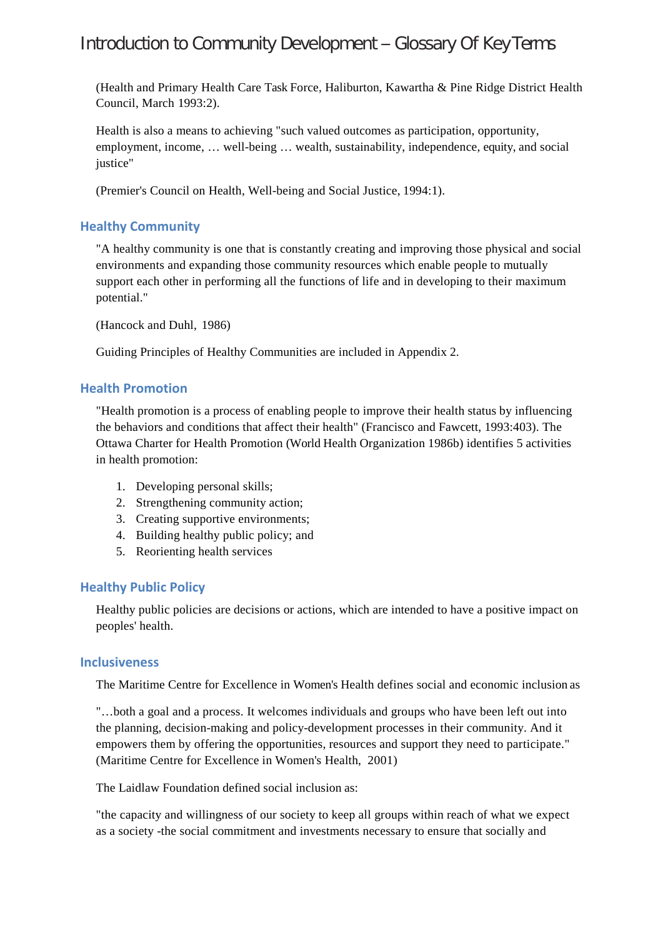(Health and Primary Health Care Task Force, Haliburton, Kawartha & Pine Ridge District Health Council, March 1993:2).

Health is also a means to achieving "such valued outcomes as participation, opportunity, employment, income, … well-being … wealth, sustainability, independence, equity, and social justice"

(Premier's Council on Health, Well-being and Social Justice, 1994:1).

# **Healthy Community**

"A healthy community is one that is constantly creating and improving those physical and social environments and expanding those community resources which enable people to mutually support each other in performing all the functions of life and in developing to their maximum potential."

(Hancock and Duhl, 1986)

Guiding Principles of Healthy Communities are included in Appendix 2.

### **Health Promotion**

"Health promotion is a process of enabling people to improve their health status by influencing the behaviors and conditions that affect their health" (Francisco and Fawcett, 1993:403). The Ottawa Charter for Health Promotion (World Health Organization 1986b) identifies 5 activities in health promotion:

- 1. Developing personal skills;
- 2. Strengthening community action;
- 3. Creating supportive environments;
- 4. Building healthy public policy; and
- 5. Reorienting health services

### **Healthy Public Policy**

Healthy public policies are decisions or actions, which are intended to have a positive impact on peoples' health.

### **Inclusiveness**

The Maritime Centre for Excellence in Women's Health defines social and economic inclusion as

"…both a goal and a process. It welcomes individuals and groups who have been left out into the planning, decision-making and policy-development processes in their community. And it empowers them by offering the opportunities, resources and support they need to participate." (Maritime Centre for Excellence in Women's Health, 2001)

The Laidlaw Foundation defined social inclusion as:

"the capacity and willingness of our society to keep all groups within reach of what we expect as a society -the social commitment and investments necessary to ensure that socially and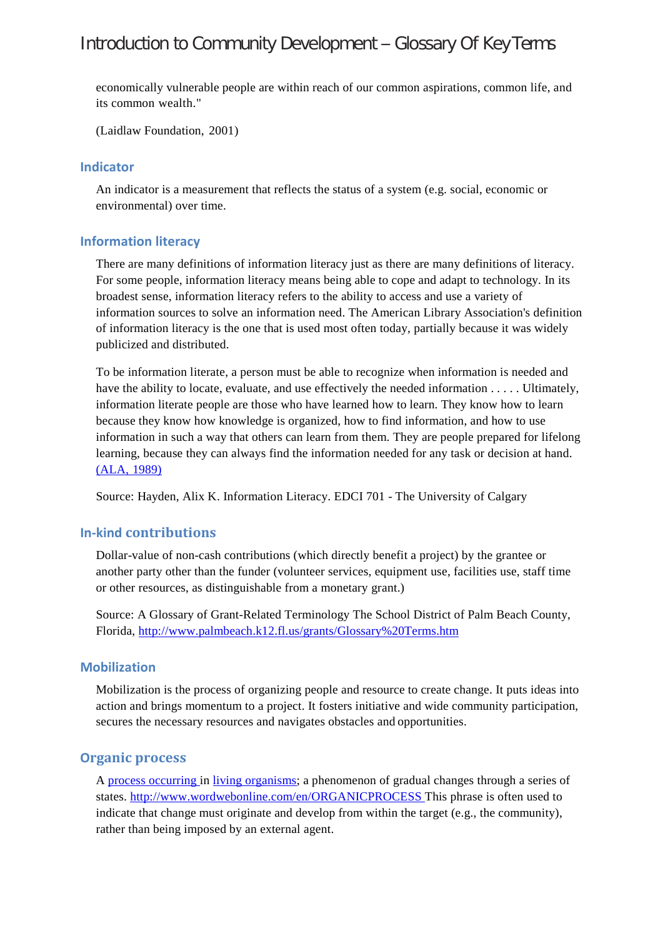economically vulnerable people are within reach of our common aspirations, common life, and its common wealth."

(Laidlaw Foundation, 2001)

### **Indicator**

An indicator is a measurement that reflects the status of a system (e.g. social, economic or environmental) over time.

### **Information literacy**

There are many definitions of information literacy just as there are many definitions of literacy. For some people, information literacy means being able to cope and adapt to technology. In its broadest sense, information literacy refers to the ability to access and use a variety of information sources to solve an information need. The American Library Association's definition of information literacy is the one that is used most often today, partially because it was widely publicized and distributed.

To be information literate, a person must be able to recognize when information is needed and have the ability to locate, evaluate, and use effectively the needed information . . . . . Ultimately, information literate people are those who have learned how to learn. They know how to learn because they know how knowledge is organized, how to find information, and how to use information in such a way that others can learn from them. They are people prepared for lifelong learning, because they can always find the information needed for any task or decision at hand. [\(ALA,](http://gopher.uic.edu/00/library/ala/ala-iv/50417007.document) 1989)

Source: Hayden, Alix K. Information Literacy. EDCI 701 - The University of Calgary

### **In-kind contributions**

Dollar-value of non-cash contributions (which directly benefit a project) by the grantee or another party other than the funder (volunteer services, equipment use, facilities use, staff time or other resources, as distinguishable from a monetary grant.)

Source: A Glossary of Grant-Related Terminology The School District of Palm Beach County, Florida,<http://www.palmbeach.k12.fl.us/grants/Glossary%20Terms.htm>

#### **Mobilization**

Mobilization is the process of organizing people and resource to create change. It puts ideas into action and brings momentum to a project. It fosters initiative and wide community participation, secures the necessary resources and navigates obstacles and opportunities.

### **Organic process**

A [process](http://www.wordwebonline.com/en/PROCESS) [occurring i](http://www.wordwebonline.com/en/OCCUR)n [living](http://www.wordwebonline.com/en/LIVING) [organisms;](http://www.wordwebonline.com/en/ORGANISM) a phenomenon of gradual changes through a series of states. [http://www.wordwebonline.com/en/ORGANICPROCESS T](http://www.wordwebonline.com/en/ORGANICPROCESS)his phrase is often used to indicate that change must originate and develop from within the target (e.g., the community), rather than being imposed by an external agent.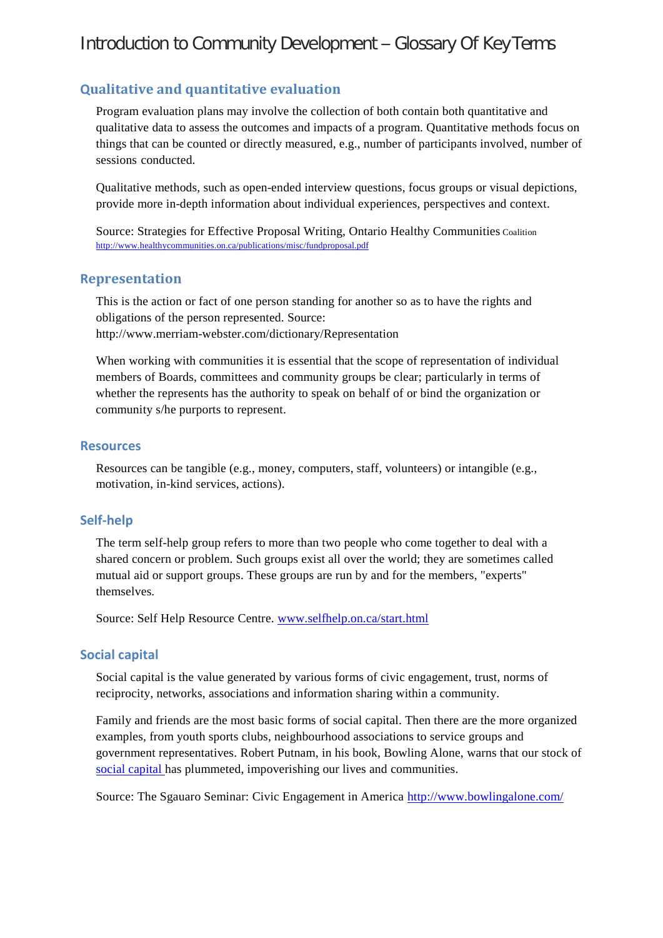# **Qualitative and quantitative evaluation**

Program evaluation plans may involve the collection of both contain both quantitative and qualitative data to assess the outcomes and impacts of a program. Quantitative methods focus on things that can be counted or directly measured, e.g., number of participants involved, number of sessions conducted.

Qualitative methods, such as open-ended interview questions, focus groups or visual depictions, provide more in-depth information about individual experiences, perspectives and context.

Source: Strategies for Effective Proposal Writing, Ontario Healthy Communities Coalition <http://www.healthycommunities.on.ca/publications/misc/fundproposal.pdf>

### **Representation**

This is the action or fact of one person standing for another so as to have the rights and obligations of the person represented. Source: <http://www.merriam-webster.com/dictionary/Representation>

When working with communities it is essential that the scope of representation of individual members of Boards, committees and community groups be clear; particularly in terms of whether the represents has the authority to speak on behalf of or bind the organization or community s/he purports to represent.

### **Resources**

Resources can be tangible (e.g., money, computers, staff, volunteers) or intangible (e.g., motivation, in-kind services, actions).

### **Self-help**

The term self-help group refers to more than two people who come together to deal with a shared concern or problem. Such groups exist all over the world; they are sometimes called mutual aid or support groups. These groups are run by and for the members, "experts" themselves.

Source: Self Help Resource Centre. [www.selfhelp.on.ca/start.html](http://www.selfhelp.on.ca/start.html)

### **Social capital**

Social capital is the value generated by various forms of civic engagement, trust, norms of reciprocity, networks, associations and information sharing within a community.

Family and friends are the most basic forms of social capital. Then there are the more organized examples, from youth sports clubs, neighbourhood associations to service groups and government representatives. Robert Putnam, in his book, Bowling Alone, warns that our stock of [social capital h](http://www.ksg.harvard.edu/saguaro/primer.htm)as plummeted, impoverishing our lives and communities.

Source: The Sgauaro Seminar: Civic Engagement in America <http://www.bowlingalone.com/>